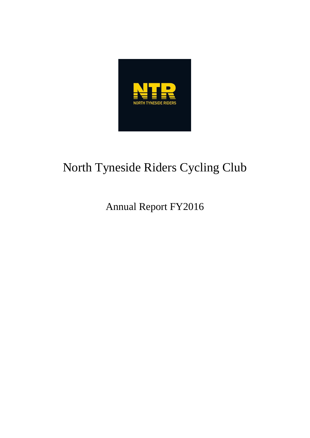

# North Tyneside Riders Cycling Club

Annual Report FY2016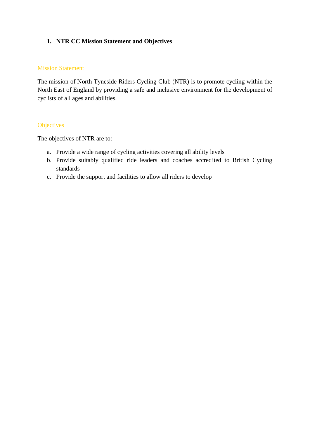# **1. NTR CC Mission Statement and Objectives**

#### Mission Statement

The mission of North Tyneside Riders Cycling Club (NTR) is to promote cycling within the North East of England by providing a safe and inclusive environment for the development of cyclists of all ages and abilities.

# **Objectives**

The objectives of NTR are to:

- a. Provide a wide range of cycling activities covering all ability levels
- b. Provide suitably qualified ride leaders and coaches accredited to British Cycling standards
- c. Provide the support and facilities to allow all riders to develop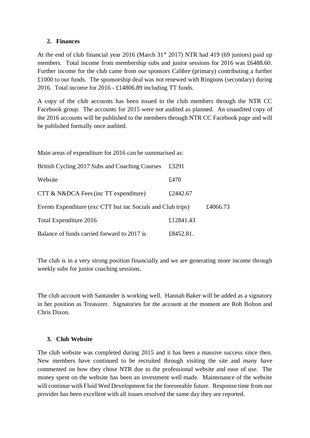## **2. Finances**

At the end of club financial year 2016 (March  $31<sup>st</sup>$  2017) NTR had 419 (69 juniors) paid up members. Total income from membership subs and junior sessions for 2016 was £6488.60. Further income for the club came from our sponsors Calibre (primary) contributing a further £1000 to our funds. The sponsorship deal was not renewed with Ringtons (secondary) during 2016. Total income for 2016 - £14806.89 including TT funds.

A copy of the club accounts has been issued to the club members through the NTR CC Facebook group. The accounts for 2015 were not audited as planned. An unaudited copy of the 2016 accounts will be published to the members through NTR CC Facebook page and will be published formally once audited.

Main areas of expenditure for 2016 can be summarised as:

| British Cycling 2017 Subs and Coaching Courses              | £3291     |          |
|-------------------------------------------------------------|-----------|----------|
| Website                                                     | £470      |          |
| CTT & N&DCA Fees (inc TT expenditure)                       | £2442.67  |          |
| Events Expenditure (exc CTT but inc Socials and Club trips) |           | £4066.73 |
| Total Expenditure 2016                                      | £12841.43 |          |
| Balance of funds carried forward to 2017 is                 | £8452.81. |          |

The club is in a very strong position financially and we are generating more income through weekly subs for junior coaching sessions.

The club account with Santander is working well. Hannah Baker will be added as a signatory in her position as Treasurer. Signatories for the account at the moment are Rob Bolton and Chris Dixon.

## **3. Club Website**

The club website was completed during 2015 and it has been a massive success since then. New members have continued to be recruited through visiting the site and many have commented on how they chose NTR due to the professional website and ease of use. The money spent on the website has been an investment well made. Maintenance of the website will continue with Fluid Wed Development for the foreseeable future. Response time from our provider has been excellent with all issues resolved the same day they are reported.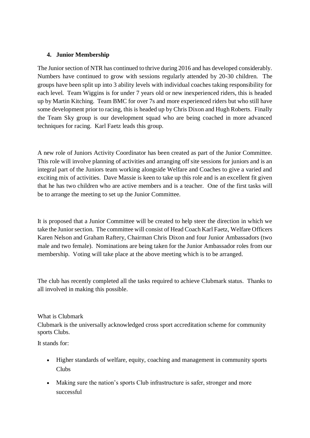## **4. Junior Membership**

The Junior section of NTR has continued to thrive during 2016 and has developed considerably. Numbers have continued to grow with sessions regularly attended by 20-30 children. The groups have been split up into 3 ability levels with individual coaches taking responsibility for each level. Team Wiggins is for under 7 years old or new inexperienced riders, this is headed up by Martin Kitching. Team BMC for over 7s and more experienced riders but who still have some development prior to racing, this is headed up by Chris Dixon and Hugh Roberts. Finally the Team Sky group is our development squad who are being coached in more advanced techniques for racing. Karl Faetz leads this group.

A new role of Juniors Activity Coordinator has been created as part of the Junior Committee. This role will involve planning of activities and arranging off site sessions for juniors and is an integral part of the Juniors team working alongside Welfare and Coaches to give a varied and exciting mix of activities. Dave Massie is keen to take up this role and is an excellent fit given that he has two children who are active members and is a teacher. One of the first tasks will be to arrange the meeting to set up the Junior Committee.

It is proposed that a Junior Committee will be created to help steer the direction in which we take the Junior section. The committee will consist of Head Coach Karl Faetz, Welfare Officers Karen Nelson and Graham Raftery, Chairman Chris Dixon and four Junior Ambassadors (two male and two female). Nominations are being taken for the Junior Ambassador roles from our membership. Voting will take place at the above meeting which is to be arranged.

The club has recently completed all the tasks required to achieve Clubmark status. Thanks to all involved in making this possible.

## What is Clubmark

Clubmark is the universally acknowledged cross sport accreditation scheme for community sports Clubs.

It stands for:

- Higher standards of welfare, equity, coaching and management in community sports Clubs
- Making sure the nation's sports Club infrastructure is safer, stronger and more successful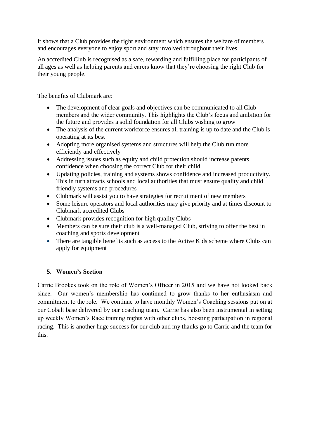It shows that a Club provides the right environment which ensures the welfare of members and encourages everyone to enjoy sport and stay involved throughout their lives.

An accredited Club is recognised as a safe, rewarding and fulfilling place for participants of all ages as well as helping parents and carers know that they're choosing the right Club for their young people.

The benefits of Clubmark are:

- The development of clear goals and objectives can be communicated to all Club members and the wider community. This highlights the Club's focus and ambition for the future and provides a solid foundation for all Clubs wishing to grow
- The analysis of the current workforce ensures all training is up to date and the Club is operating at its best
- Adopting more organised systems and structures will help the Club run more efficiently and effectively
- Addressing issues such as equity and child protection should increase parents confidence when choosing the correct Club for their child
- Updating policies, training and systems shows confidence and increased productivity. This in turn attracts schools and local authorities that must ensure quality and child friendly systems and procedures
- Clubmark will assist you to have strategies for recruitment of new members
- Some leisure operators and local authorities may give priority and at times discount to Clubmark accredited Clubs
- Clubmark provides recognition for high quality Clubs
- Members can be sure their club is a well-managed Club, striving to offer the best in coaching and sports development
- There are tangible benefits such as access to the [Active Kids](http://www.sportenglandclubmatters.com/club-mark/sainsburys-active-kids/) scheme where Clubs can apply for equipment

# **5. Women's Section**

Carrie Brookes took on the role of Women's Officer in 2015 and we have not looked back since. Our women's membership has continued to grow thanks to her enthusiasm and commitment to the role. We continue to have monthly Women's Coaching sessions put on at our Cobalt base delivered by our coaching team. Carrie has also been instrumental in setting up weekly Women's Race training nights with other clubs, boosting participation in regional racing. This is another huge success for our club and my thanks go to Carrie and the team for this.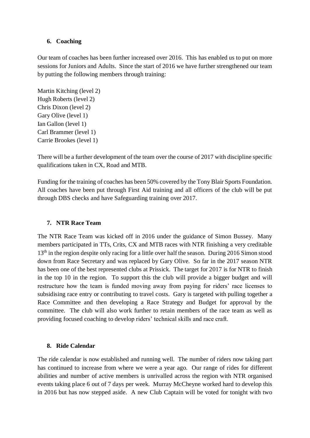## **6. Coaching**

Our team of coaches has been further increased over 2016. This has enabled us to put on more sessions for Juniors and Adults. Since the start of 2016 we have further strengthened our team by putting the following members through training:

Martin Kitching (level 2) Hugh Roberts (level 2) Chris Dixon (level 2) Gary Olive (level 1) Ian Gallon (level 1) Carl Brammer (level 1) Carrie Brookes (level 1)

There will be a further development of the team over the course of 2017 with discipline specific qualifications taken in CX, Road and MTB.

Funding for the training of coaches has been 50% covered by the Tony Blair Sports Foundation. All coaches have been put through First Aid training and all officers of the club will be put through DBS checks and have Safeguarding training over 2017.

## **7. NTR Race Team**

The NTR Race Team was kicked off in 2016 under the guidance of Simon Bussey. Many members participated in TTs, Crits, CX and MTB races with NTR finishing a very creditable 13<sup>th</sup> in the region despite only racing for a little over half the season. During 2016 Simon stood down from Race Secretary and was replaced by Gary Olive. So far in the 2017 season NTR has been one of the best represented clubs at Prissick. The target for 2017 is for NTR to finish in the top 10 in the region. To support this the club will provide a bigger budget and will restructure how the team is funded moving away from paying for riders' race licenses to subsidising race entry or contributing to travel costs. Gary is targeted with pulling together a Race Committee and then developing a Race Strategy and Budget for approval by the committee. The club will also work further to retain members of the race team as well as providing focused coaching to develop riders' technical skills and race craft.

## **8. Ride Calendar**

The ride calendar is now established and running well. The number of riders now taking part has continued to increase from where we were a year ago. Our range of rides for different abilities and number of active members is unrivalled across the region with NTR organised events taking place 6 out of 7 days per week. Murray McCheyne worked hard to develop this in 2016 but has now stepped aside. A new Club Captain will be voted for tonight with two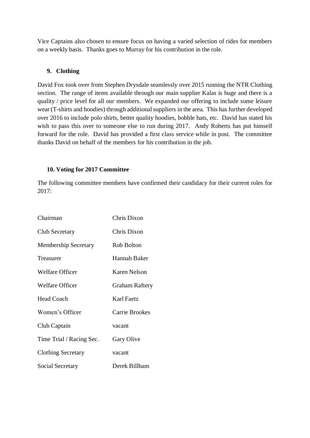Vice Captains also chosen to ensure focus on having a varied selection of rides for members on a weekly basis. Thanks goes to Murray for his contribution in the role.

## **9. Clothing**

David Fox took over from Stephen Drysdale seamlessly over 2015 running the NTR Clothing section. The range of items available through our main supplier Kalas is huge and there is a quality / price level for all our members. We expanded our offering to include some leisure wear (T-shirts and hoodies) through additional suppliers in the area. This has further developed over 2016 to include polo shirts, better quality hoodies, bobble hats, etc. David has stated his wish to pass this over to someone else to run during 2017. Andy Roberts has put himself forward for the role. David has provided a first class service while in post. The committee thanks David on behalf of the members for his contribution in the job.

## **10. Voting for 2017 Committee**

The following committee members have confirmed their candidacy for their current roles for 2017:

| Chairman                    | Chris Dixon           |
|-----------------------------|-----------------------|
| <b>Club Secretary</b>       | Chris Dixon           |
| <b>Membership Secretary</b> | Rob Bolton            |
| Treasurer                   | Hannah Baker          |
| <b>Welfare Officer</b>      | <b>Karen Nelson</b>   |
| <b>Welfare Officer</b>      | <b>Graham Raftery</b> |
| <b>Head Coach</b>           | Karl Faetz            |
| Women's Officer             | <b>Carrie Brookes</b> |
| Club Captain                | vacant                |
| Time Trial / Racing Sec.    | Gary Olive            |
| <b>Clothing Secretary</b>   | vacant                |
| Social Secretary            | Derek Billham         |